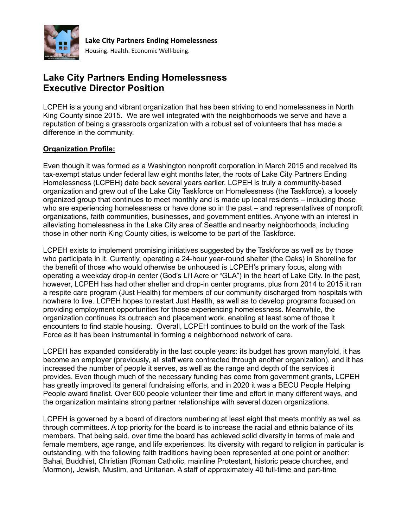

# **Lake City Partners Ending Homelessness Executive Director Position**

LCPEH is a young and vibrant organization that has been striving to end homelessness in North King County since 2015. We are well integrated with the neighborhoods we serve and have a reputation of being a grassroots organization with a robust set of volunteers that has made a difference in the community.

### **Organization Profile:**

Even though it was formed as a Washington nonprofit corporation in March 2015 and received its tax-exempt status under federal law eight months later, the roots of Lake City Partners Ending Homelessness (LCPEH) date back several years earlier. LCPEH is truly a community-based organization and grew out of the Lake City Taskforce on Homelessness (the Taskforce), a loosely organized group that continues to meet monthly and is made up local residents – including those who are experiencing homelessness or have done so in the past – and representatives of nonprofit organizations, faith communities, businesses, and government entities. Anyone with an interest in alleviating homelessness in the Lake City area of Seattle and nearby neighborhoods, including those in other north King County cities, is welcome to be part of the Taskforce.

LCPEH exists to implement promising initiatives suggested by the Taskforce as well as by those who participate in it. Currently, operating a 24-hour year-round shelter (the Oaks) in Shoreline for the benefit of those who would otherwise be unhoused is LCPEH's primary focus, along with operating a weekday drop-in center (God's Li'l Acre or "GLA") in the heart of Lake City. In the past, however, LCPEH has had other shelter and drop-in center programs, plus from 2014 to 2015 it ran a respite care program (Just Health) for members of our community discharged from hospitals with nowhere to live. LCPEH hopes to restart Just Health, as well as to develop programs focused on providing employment opportunities for those experiencing homelessness. Meanwhile, the organization continues its outreach and placement work, enabling at least some of those it encounters to find stable housing. Overall, LCPEH continues to build on the work of the Task Force as it has been instrumental in forming a neighborhood network of care.

LCPEH has expanded considerably in the last couple years: its budget has grown manyfold, it has become an employer (previously, all staff were contracted through another organization), and it has increased the number of people it serves, as well as the range and depth of the services it provides. Even though much of the necessary funding has come from government grants, LCPEH has greatly improved its general fundraising efforts, and in 2020 it was a BECU People Helping People award finalist. Over 600 people volunteer their time and effort in many different ways, and the organization maintains strong partner relationships with several dozen organizations.

LCPEH is governed by a board of directors numbering at least eight that meets monthly as well as through committees. A top priority for the board is to increase the racial and ethnic balance of its members. That being said, over time the board has achieved solid diversity in terms of male and female members, age range, and life experiences. Its diversity with regard to religion in particular is outstanding, with the following faith traditions having been represented at one point or another: Bahai, Buddhist, Christian (Roman Catholic, mainline Protestant, historic peace churches, and Mormon), Jewish, Muslim, and Unitarian. A staff of approximately 40 full-time and part-time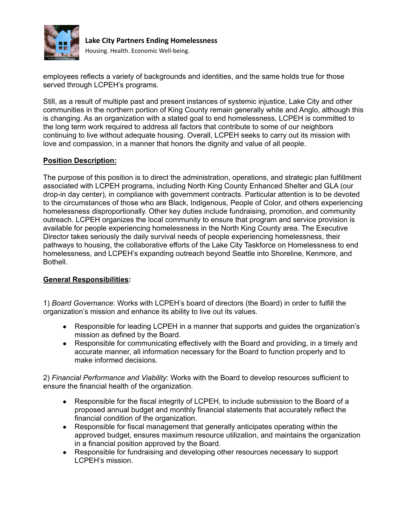

**Lake City Partners Ending Homelessness** Housing. Health. Economic Well-being.

employees reflects a variety of backgrounds and identities, and the same holds true for those served through LCPEH's programs.

Still, as a result of multiple past and present instances of systemic injustice, Lake City and other communities in the northern portion of King County remain generally white and Anglo, although this is changing. As an organization with a stated goal to end homelessness, LCPEH is committed to the long term work required to address all factors that contribute to some of our neighbors continuing to live without adequate housing. Overall, LCPEH seeks to carry out its mission with love and compassion, in a manner that honors the dignity and value of all people.

## **Position Description:**

The purpose of this position is to direct the administration, operations, and strategic plan fulfillment associated with LCPEH programs, including North King County Enhanced Shelter and GLA (our drop-in day center), in compliance with government contracts. Particular attention is to be devoted to the circumstances of those who are Black, Indigenous, People of Color, and others experiencing homelessness disproportionally. Other key duties include fundraising, promotion, and community outreach. LCPEH organizes the local community to ensure that program and service provision is available for people experiencing homelessness in the North King County area. The Executive Director takes seriously the daily survival needs of people experiencing homelessness, their pathways to housing, the collaborative efforts of the Lake City Taskforce on Homelessness to end homelessness, and LCPEH's expanding outreach beyond Seattle into Shoreline, Kenmore, and Bothell.

### **General Responsibilities:**

1) *Board Governance*: Works with LCPEH's board of directors (the Board) in order to fulfill the organization's mission and enhance its ability to live out its values.

- Responsible for leading LCPEH in a manner that supports and guides the organization's mission as defined by the Board.
- Responsible for communicating effectively with the Board and providing, in a timely and accurate manner, all information necessary for the Board to function properly and to make informed decisions.

2) *Financial Performance and Viability*: Works with the Board to develop resources sufficient to ensure the financial health of the organization.

- Responsible for the fiscal integrity of LCPEH, to include submission to the Board of a proposed annual budget and monthly financial statements that accurately reflect the financial condition of the organization.
- Responsible for fiscal management that generally anticipates operating within the approved budget, ensures maximum resource utilization, and maintains the organization in a financial position approved by the Board.
- Responsible for fundraising and developing other resources necessary to support LCPEH's mission.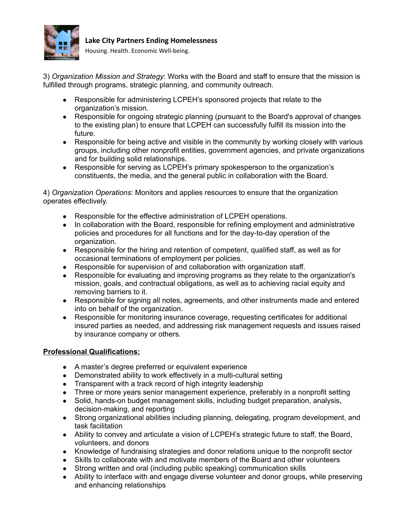

**Lake City Partners Ending Homelessness**

Housing. Health. Economic Well-being.

3) *Organization Mission and Strategy*: Works with the Board and staff to ensure that the mission is fulfilled through programs, strategic planning, and community outreach.

- Responsible for administering LCPEH's sponsored projects that relate to the organization's mission.
- Responsible for ongoing strategic planning (pursuant to the Board's approval of changes to the existing plan) to ensure that LCPEH can successfully fulfill its mission into the future.
- Responsible for being active and visible in the community by working closely with various groups, including other nonprofit entities, government agencies, and private organizations and for building solid relationships.
- Responsible for serving as LCPEH's primary spokesperson to the organization's constituents, the media, and the general public in collaboration with the Board.

4) *Organization Operations*: Monitors and applies resources to ensure that the organization operates effectively.

- Responsible for the effective administration of LCPEH operations.
- In collaboration with the Board, responsible for refining employment and administrative policies and procedures for all functions and for the day-to-day operation of the organization.
- Responsible for the hiring and retention of competent, qualified staff, as well as for occasional terminations of employment per policies.
- Responsible for supervision of and collaboration with organization staff.
- Responsible for evaluating and improving programs as they relate to the organization's mission, goals, and contractual obligations, as well as to achieving racial equity and removing barriers to it.
- Responsible for signing all notes, agreements, and other instruments made and entered into on behalf of the organization.
- Responsible for monitoring insurance coverage, requesting certificates for additional insured parties as needed, and addressing risk management requests and issues raised by insurance company or others.

## **Professional Qualifications:**

- A master's degree preferred or equivalent experience
- Demonstrated ability to work effectively in a multi-cultural setting
- Transparent with a track record of high integrity leadership
- Three or more years senior management experience, preferably in a nonprofit setting
- Solid, hands-on budget management skills, including budget preparation, analysis, decision-making, and reporting
- Strong organizational abilities including planning, delegating, program development, and task facilitation
- Ability to convey and articulate a vision of LCPEH's strategic future to staff, the Board, volunteers, and donors
- Knowledge of fundraising strategies and donor relations unique to the nonprofit sector
- Skills to collaborate with and motivate members of the Board and other volunteers
- Strong written and oral (including public speaking) communication skills
- Ability to interface with and engage diverse volunteer and donor groups, while preserving and enhancing relationships